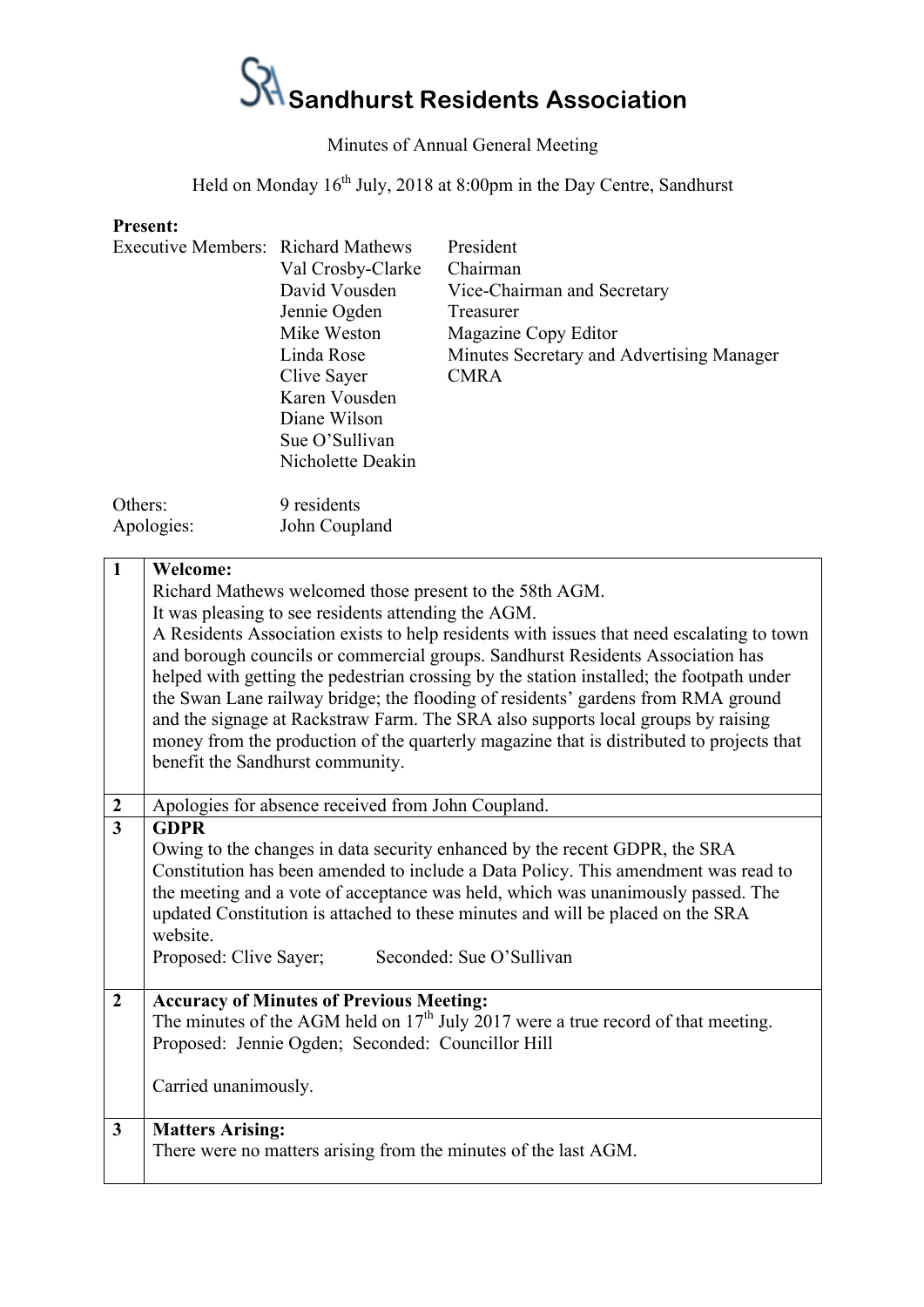### $S$ <sup>1</sup> Sandhurst Residents Association

### Minutes of Annual General Meeting

Held on Monday 16<sup>th</sup> July, 2018 at 8:00pm in the Day Centre, Sandhurst

#### **Present:**

| Executive Members: Richard Mathews |                   | President                                 |  |  |  |
|------------------------------------|-------------------|-------------------------------------------|--|--|--|
|                                    | Val Crosby-Clarke | Chairman                                  |  |  |  |
|                                    | David Vousden     | Vice-Chairman and Secretary               |  |  |  |
|                                    | Jennie Ogden      | Treasurer                                 |  |  |  |
|                                    | Mike Weston       | Magazine Copy Editor                      |  |  |  |
|                                    | Linda Rose        | Minutes Secretary and Advertising Manager |  |  |  |
|                                    | Clive Sayer       | <b>CMRA</b>                               |  |  |  |
|                                    | Karen Vousden     |                                           |  |  |  |
|                                    | Diane Wilson      |                                           |  |  |  |
|                                    | Sue O'Sullivan    |                                           |  |  |  |
|                                    | Nicholette Deakin |                                           |  |  |  |
| Others:                            | 9 residents       |                                           |  |  |  |
| Apologies:                         | John Coupland     |                                           |  |  |  |

| $\mathbf{1}$     | <b>Welcome:</b>                                                                                                                                                                                                                                                                                                                                                                                                                                                                                                                                                                 |  |  |  |  |
|------------------|---------------------------------------------------------------------------------------------------------------------------------------------------------------------------------------------------------------------------------------------------------------------------------------------------------------------------------------------------------------------------------------------------------------------------------------------------------------------------------------------------------------------------------------------------------------------------------|--|--|--|--|
|                  | Richard Mathews welcomed those present to the 58th AGM.                                                                                                                                                                                                                                                                                                                                                                                                                                                                                                                         |  |  |  |  |
|                  | It was pleasing to see residents attending the AGM.                                                                                                                                                                                                                                                                                                                                                                                                                                                                                                                             |  |  |  |  |
|                  | A Residents Association exists to help residents with issues that need escalating to town<br>and borough councils or commercial groups. Sandhurst Residents Association has<br>helped with getting the pedestrian crossing by the station installed; the footpath under<br>the Swan Lane railway bridge; the flooding of residents' gardens from RMA ground<br>and the signage at Rackstraw Farm. The SRA also supports local groups by raising<br>money from the production of the quarterly magazine that is distributed to projects that<br>benefit the Sandhurst community. |  |  |  |  |
|                  |                                                                                                                                                                                                                                                                                                                                                                                                                                                                                                                                                                                 |  |  |  |  |
| $\boldsymbol{2}$ | Apologies for absence received from John Coupland.                                                                                                                                                                                                                                                                                                                                                                                                                                                                                                                              |  |  |  |  |
| $\overline{3}$   | <b>GDPR</b>                                                                                                                                                                                                                                                                                                                                                                                                                                                                                                                                                                     |  |  |  |  |
|                  | Owing to the changes in data security enhanced by the recent GDPR, the SRA                                                                                                                                                                                                                                                                                                                                                                                                                                                                                                      |  |  |  |  |
|                  | Constitution has been amended to include a Data Policy. This amendment was read to<br>the meeting and a vote of acceptance was held, which was unanimously passed. The<br>updated Constitution is attached to these minutes and will be placed on the SRA<br>website.                                                                                                                                                                                                                                                                                                           |  |  |  |  |
|                  | Proposed: Clive Sayer;<br>Seconded: Sue O'Sullivan                                                                                                                                                                                                                                                                                                                                                                                                                                                                                                                              |  |  |  |  |
|                  |                                                                                                                                                                                                                                                                                                                                                                                                                                                                                                                                                                                 |  |  |  |  |
| $\overline{2}$   | <b>Accuracy of Minutes of Previous Meeting:</b><br>The minutes of the AGM held on $17th$ July 2017 were a true record of that meeting.<br>Proposed: Jennie Ogden; Seconded: Councillor Hill                                                                                                                                                                                                                                                                                                                                                                                     |  |  |  |  |
|                  | Carried unanimously.                                                                                                                                                                                                                                                                                                                                                                                                                                                                                                                                                            |  |  |  |  |
| $\mathbf{3}$     | <b>Matters Arising:</b><br>There were no matters arising from the minutes of the last AGM.                                                                                                                                                                                                                                                                                                                                                                                                                                                                                      |  |  |  |  |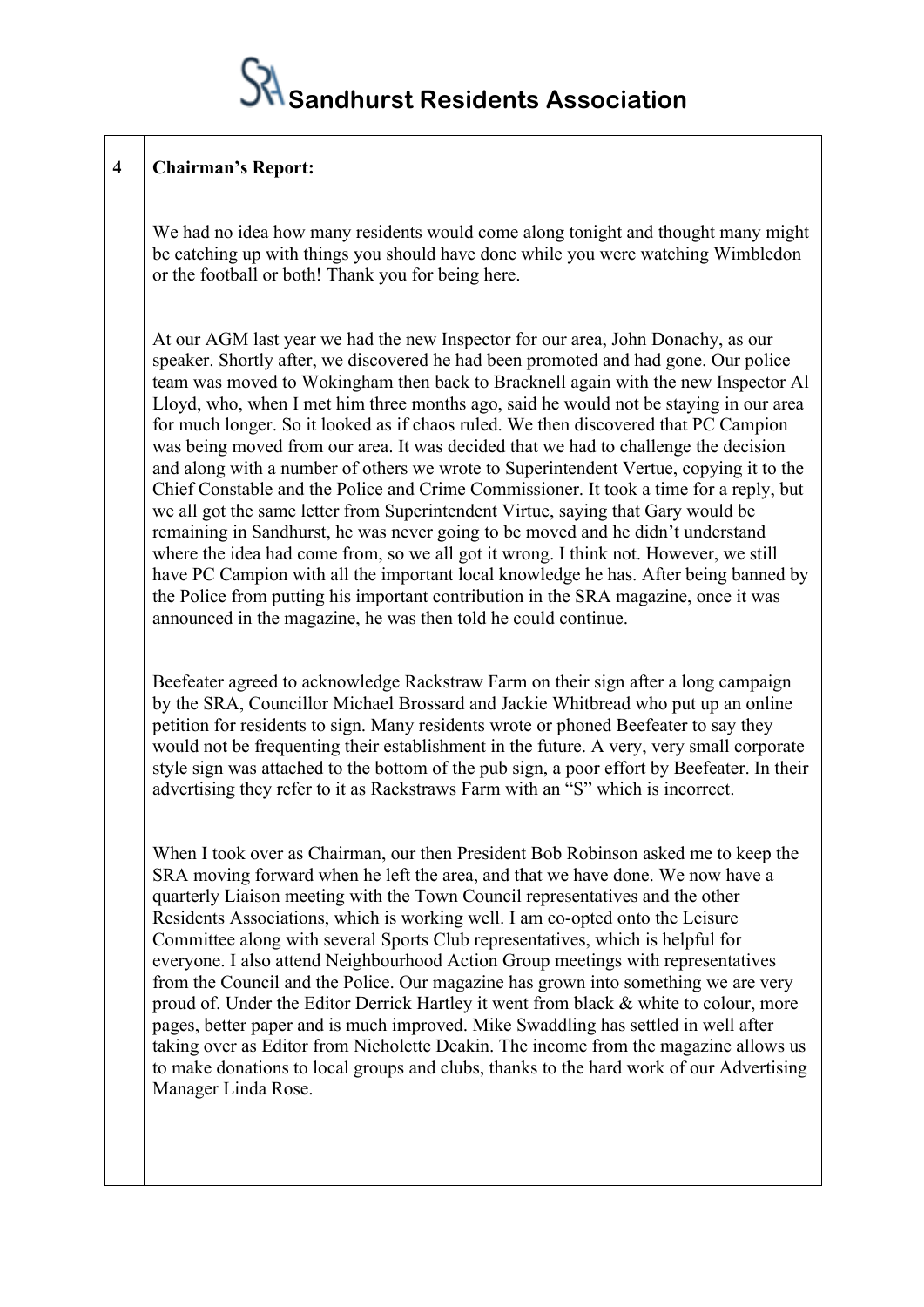

#### **4 Chairman's Report:**

We had no idea how many residents would come along tonight and thought many might be catching up with things you should have done while you were watching Wimbledon or the football or both! Thank you for being here.

At our AGM last year we had the new Inspector for our area, John Donachy, as our speaker. Shortly after, we discovered he had been promoted and had gone. Our police team was moved to Wokingham then back to Bracknell again with the new Inspector Al Lloyd, who, when I met him three months ago, said he would not be staying in our area for much longer. So it looked as if chaos ruled. We then discovered that PC Campion was being moved from our area. It was decided that we had to challenge the decision and along with a number of others we wrote to Superintendent Vertue, copying it to the Chief Constable and the Police and Crime Commissioner. It took a time for a reply, but we all got the same letter from Superintendent Virtue, saying that Gary would be remaining in Sandhurst, he was never going to be moved and he didn't understand where the idea had come from, so we all got it wrong. I think not. However, we still have PC Campion with all the important local knowledge he has. After being banned by the Police from putting his important contribution in the SRA magazine, once it was announced in the magazine, he was then told he could continue.

Beefeater agreed to acknowledge Rackstraw Farm on their sign after a long campaign by the SRA, Councillor Michael Brossard and Jackie Whitbread who put up an online petition for residents to sign. Many residents wrote or phoned Beefeater to say they would not be frequenting their establishment in the future. A very, very small corporate style sign was attached to the bottom of the pub sign, a poor effort by Beefeater. In their advertising they refer to it as Rackstraws Farm with an "S" which is incorrect.

When I took over as Chairman, our then President Bob Robinson asked me to keep the SRA moving forward when he left the area, and that we have done. We now have a quarterly Liaison meeting with the Town Council representatives and the other Residents Associations, which is working well. I am co-opted onto the Leisure Committee along with several Sports Club representatives, which is helpful for everyone. I also attend Neighbourhood Action Group meetings with representatives from the Council and the Police. Our magazine has grown into something we are very proud of. Under the Editor Derrick Hartley it went from black & white to colour, more pages, better paper and is much improved. Mike Swaddling has settled in well after taking over as Editor from Nicholette Deakin. The income from the magazine allows us to make donations to local groups and clubs, thanks to the hard work of our Advertising Manager Linda Rose.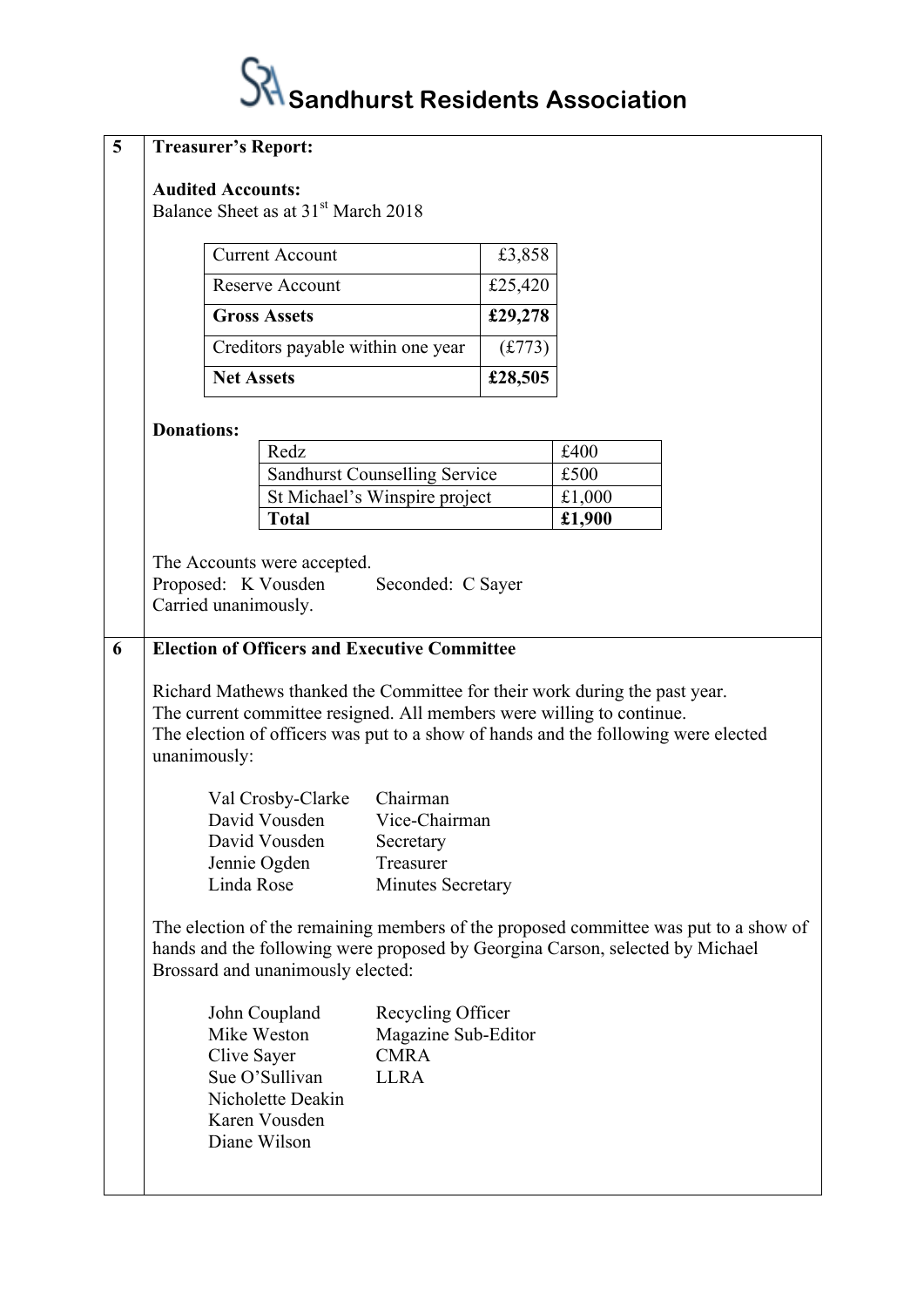## $\mathcal{\hat{S}}$  Sandhurst Residents Association

| 5 | <b>Treasurer's Report:</b>                                                                                                                                                                                                                                                                                                        |                                                                                                                                                                                                                                                                                                                                                                                   |         |        |  |  |
|---|-----------------------------------------------------------------------------------------------------------------------------------------------------------------------------------------------------------------------------------------------------------------------------------------------------------------------------------|-----------------------------------------------------------------------------------------------------------------------------------------------------------------------------------------------------------------------------------------------------------------------------------------------------------------------------------------------------------------------------------|---------|--------|--|--|
|   | <b>Audited Accounts:</b><br>Balance Sheet as at 31 <sup>st</sup> March 2018                                                                                                                                                                                                                                                       |                                                                                                                                                                                                                                                                                                                                                                                   |         |        |  |  |
|   | <b>Current Account</b>                                                                                                                                                                                                                                                                                                            |                                                                                                                                                                                                                                                                                                                                                                                   | £3,858  |        |  |  |
|   | <b>Reserve Account</b>                                                                                                                                                                                                                                                                                                            |                                                                                                                                                                                                                                                                                                                                                                                   | £25,420 |        |  |  |
|   | <b>Gross Assets</b>                                                                                                                                                                                                                                                                                                               |                                                                                                                                                                                                                                                                                                                                                                                   | £29,278 |        |  |  |
|   | Creditors payable within one year                                                                                                                                                                                                                                                                                                 |                                                                                                                                                                                                                                                                                                                                                                                   | (f.773) |        |  |  |
|   | <b>Net Assets</b>                                                                                                                                                                                                                                                                                                                 |                                                                                                                                                                                                                                                                                                                                                                                   | £28,505 |        |  |  |
|   | <b>Donations:</b>                                                                                                                                                                                                                                                                                                                 |                                                                                                                                                                                                                                                                                                                                                                                   |         |        |  |  |
|   | Redz                                                                                                                                                                                                                                                                                                                              |                                                                                                                                                                                                                                                                                                                                                                                   |         | £400   |  |  |
|   |                                                                                                                                                                                                                                                                                                                                   | <b>Sandhurst Counselling Service</b>                                                                                                                                                                                                                                                                                                                                              |         | £500   |  |  |
|   |                                                                                                                                                                                                                                                                                                                                   | St Michael's Winspire project                                                                                                                                                                                                                                                                                                                                                     |         | £1,000 |  |  |
|   | <b>Total</b>                                                                                                                                                                                                                                                                                                                      |                                                                                                                                                                                                                                                                                                                                                                                   |         | £1,900 |  |  |
| 6 | Proposed: K Vousden<br>Carried unanimously.<br>unanimously:<br>Val Crosby-Clarke<br>David Vousden                                                                                                                                                                                                                                 | The Accounts were accepted.<br>Seconded: C Sayer<br><b>Election of Officers and Executive Committee</b><br>Richard Mathews thanked the Committee for their work during the past year.<br>The current committee resigned. All members were willing to continue.<br>The election of officers was put to a show of hands and the following were elected<br>Chairman<br>Vice-Chairman |         |        |  |  |
|   | David Vousden                                                                                                                                                                                                                                                                                                                     | Secretary                                                                                                                                                                                                                                                                                                                                                                         |         |        |  |  |
|   | Jennie Ogden<br>Linda Rose                                                                                                                                                                                                                                                                                                        | Treasurer<br><b>Minutes Secretary</b>                                                                                                                                                                                                                                                                                                                                             |         |        |  |  |
|   | The election of the remaining members of the proposed committee was put to a show of<br>hands and the following were proposed by Georgina Carson, selected by Michael<br>Brossard and unanimously elected:<br>John Coupland<br>Mike Weston<br>Clive Sayer<br>Sue O'Sullivan<br>Nicholette Deakin<br>Karen Vousden<br>Diane Wilson | Recycling Officer<br>Magazine Sub-Editor<br><b>CMRA</b><br><b>LLRA</b>                                                                                                                                                                                                                                                                                                            |         |        |  |  |